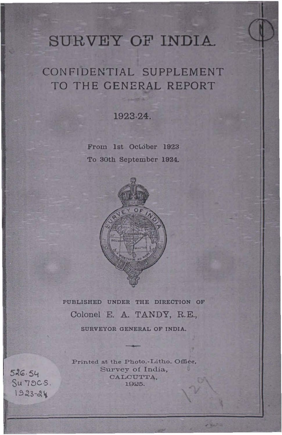# SURVEY OF INDIA.

# CONFIDENTIAL SUPPLEMENT TO THE GENERAL REPORT

1923-24.

From 1st October 1923 To 30th September 1924.



PUBLISHED UNDER THE DIRECTION OF Colonel E. A. TANDY, R.E., SURVEYOR GENERAL OF INDIA.

Printed at the Photo.-Litho. Office, Survey of India. CALCUTTA, 1925.

-

526.54 Su 79C.S. 1923-24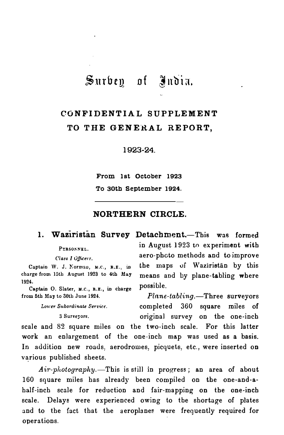## Surbey of Judia.

## CONFIDENTIAL SUPPLEMENT TO THE GENERAL REPORT,

1923-24.

From 1st October 1923 To 30th September 1924.

#### NORTHERN CIRCLE.

1. Waziristan Survey Detachment.-This was formed PERSONNEL. Class I Officers. Captain W. J. Norman, M.C., R.E., in charge from 15th August 1923 to 4th May Captain O. Slater, M.C., R.E., in charge in August 1923 to experiment with aero-photo methods and to improve the maps of Waziristan by this means and by plane-tabling where possible.

1924.

from 5th May to 30th June 1924.

Lower Subordinate Service.

 $Plane$ -tabling.-Three surveyors completed 360 square miles of 3 Surveyors. original survey on the one-inch

scale and 82 square miles on the two-inch scale. For this latter work an enlargement of the one-inch map was used as a basis. In addition new roads, aerodromes, picquets, etc., were inserted on various published sheets.

 $Air-plotography$ . This is still in progress; an area of about 160 square miles has already been compiled on the one-and-ahalf-inch scale for reduction and fair-mapping on the one-inch scale. Delays were experienced owing to the shortage of plates and to the fact that the aeroplanes were frequently required for operations.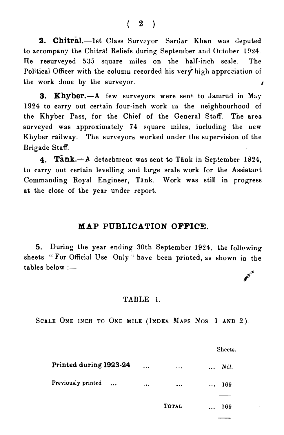$\left( \begin{array}{cc} 2 \end{array} \right)$ 

2. Chitral.-1st Class Surveyor Sardar Khan was deputed to accompany the Chitral Reliefs during September ami October 1924. Re resurveyed 535 square miles on the half-inch scale. The Political Officer with the column recorded his very high appreciation of the work done by the surveyor.

3. Khyber.-A few surveyors were sent to Jamrud in May 1924 to carry out certain four-inch work in the neighbourhood of the Khyber Pass, for the Chief of the General Staff. The area surveyed was approximately 74 square miles, including the new Khyber railway. The surveyors worked under the supervision of the Brigade Staff.

4. Tank.-A detachment was sent to Tank in September 1924, to carry out certain levelling and large scale work for the Assistant Commanding Royal Engineer, Tank. Work was still in progress at the close of the year under report.

#### MAP PUBLICATION OFFICE.

5. During the year ending 30th September 1924, the foliowing sheets "For Official Use Only " have been printed, as shown in the tables below  $=$ 

#### TABLE l.

SCALE ONE INCH TO ONE MILE (INDEX MAPS NOS. 1 AND 2).

|                                 |          |              | Sheets.           |
|---------------------------------|----------|--------------|-------------------|
| Printed during 1923-24          | $\cdots$ | $\cdots$     | Nil.<br>$\ddotsc$ |
| Previously printed<br>$\ddotsc$ | $\cdots$ | $\cdots$     | 169<br>$\ddotsc$  |
|                                 |          |              |                   |
|                                 |          | <b>TOTAL</b> | 169<br>$\ddotsc$  |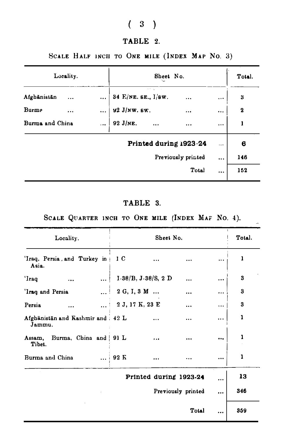## $(3)$

### TABLE 2.

### SCALE HALF INCH TO ONE MILE (INDEX MAP NO. 3)

| Locality.                      |  | Sheet No.<br>N.                 |              |          | Total.      |
|--------------------------------|--|---------------------------------|--------------|----------|-------------|
| Afghänistän<br>$\ddotsc$       |  | 49.00<br>34 E/NE. SE., $I/Sw$ . | $\ddotsc$    | $\cdots$ | 3           |
| Burme<br>$\ddotsc$             |  | 92 J/NW. 6W.                    | $\cdots$     | $\cdots$ | $\mathbf 2$ |
| Burma and China                |  | $\sim$<br>92 J/NE.              | $\cdots$     | $\cdots$ | 1           |
|                                |  | Printed during 1923-24          |              |          | 6           |
| Previously printed<br>$\cdots$ |  |                                 |              | 146      |             |
|                                |  |                                 | <b>Total</b> |          | 152         |

## TABLE 3.

### SCALE QUARTER INCH TO ONE MILE (INDEX MAF NO. 4).

 $\mathbb{R}^2$ 

| Locality.                                    | Sheet No.                                        | Total. |
|----------------------------------------------|--------------------------------------------------|--------|
| 'Iraq, Persia, and Turkey in<br>Asia.        | 1 <sub>C</sub><br>$\cdots$<br>$\cdots$<br>       | ı      |
| 'Iraq<br>$\ddotsc$<br>$\cdots$               | $I-38/B$ , $J-38/S$ , 2 D<br><br>                | 3      |
| 'Iraq and Persia                             | 2 G, I, 3 M<br><br>                              | 3      |
| Persia<br>$\cdots$                           | $\ldots$ 2 J, 17 K, 23 E<br>$\cdots$<br>$\cdots$ | 3      |
| Afghanistan and Kashmir and   42 L<br>Jammu. | <br>$\ddotsc$                                    | 1      |
| Burma, China and   91 L<br>Assam,<br>Tibet.  | $\cdots$<br>$\cdots$<br>                         | 1      |
| Burma and China                              | $\dots$ 92 K<br>$\cdots$<br>$\cdots$<br>$\cdots$ | 1      |
|                                              | Printed during 1923-24<br>                       | 13     |
|                                              | Previously printed<br>                           | 346    |
|                                              | Total<br>                                        | 359    |